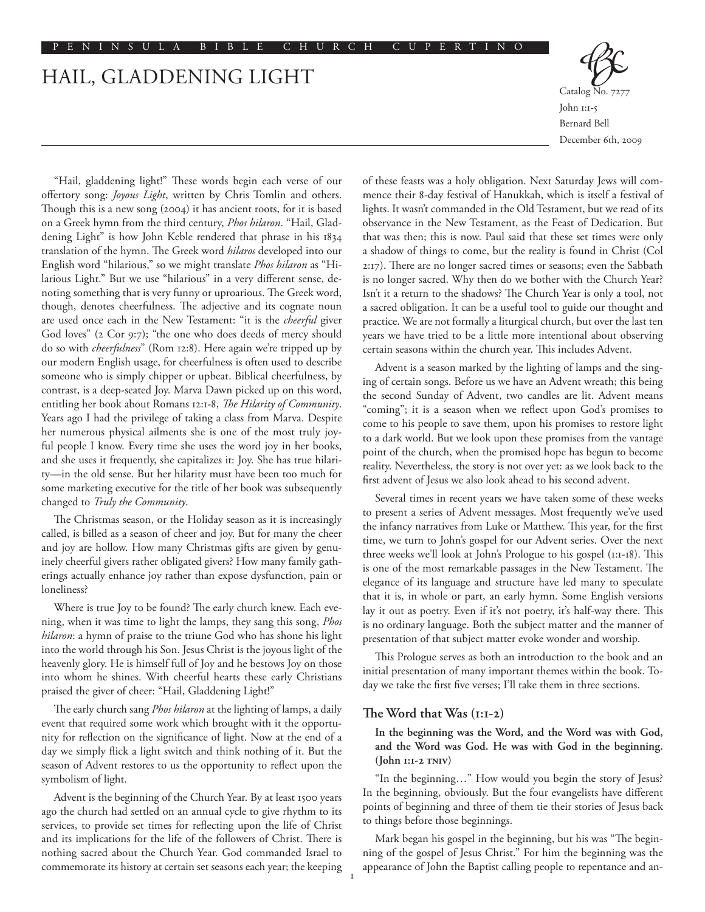# Hail, Gladdening Light



"Hail, gladdening light!" These words begin each verse of our offertory song: *Joyous Light*, written by Chris Tomlin and others. Though this is a new song (2004) it has ancient roots, for it is based on a Greek hymn from the third century, *Phos hilaron*. "Hail, Gladdening Light" is how John Keble rendered that phrase in his 1834 translation of the hymn. The Greek word *hilaros* developed into our English word "hilarious," so we might translate *Phos hilaron* as "Hilarious Light." But we use "hilarious" in a very different sense, denoting something that is very funny or uproarious. The Greek word, though, denotes cheerfulness. The adjective and its cognate noun are used once each in the New Testament: "it is the *cheerful* giver God loves" (2 Cor 9:7); "the one who does deeds of mercy should do so with *cheerfulness*" (Rom 12:8). Here again we're tripped up by our modern English usage, for cheerfulness is often used to describe someone who is simply chipper or upbeat. Biblical cheerfulness, by contrast, is a deep-seated Joy. Marva Dawn picked up on this word, entitling her book about Romans 12:1-8, *The Hilarity of Community*. Years ago I had the privilege of taking a class from Marva. Despite her numerous physical ailments she is one of the most truly joyful people I know. Every time she uses the word joy in her books, and she uses it frequently, she capitalizes it: Joy. She has true hilarity—in the old sense. But her hilarity must have been too much for some marketing executive for the title of her book was subsequently changed to *Truly the Community*.

The Christmas season, or the Holiday season as it is increasingly called, is billed as a season of cheer and joy. But for many the cheer and joy are hollow. How many Christmas gifts are given by genuinely cheerful givers rather obligated givers? How many family gatherings actually enhance joy rather than expose dysfunction, pain or loneliness?

Where is true Joy to be found? The early church knew. Each evening, when it was time to light the lamps, they sang this song, *Phos hilaron*: a hymn of praise to the triune God who has shone his light into the world through his Son. Jesus Christ is the joyous light of the heavenly glory. He is himself full of Joy and he bestows Joy on those into whom he shines. With cheerful hearts these early Christians praised the giver of cheer: "Hail, Gladdening Light!"

The early church sang *Phos hilaron* at the lighting of lamps, a daily event that required some work which brought with it the opportunity for reflection on the significance of light. Now at the end of a day we simply flick a light switch and think nothing of it. But the season of Advent restores to us the opportunity to reflect upon the symbolism of light.

Advent is the beginning of the Church Year. By at least 1500 years ago the church had settled on an annual cycle to give rhythm to its services, to provide set times for reflecting upon the life of Christ and its implications for the life of the followers of Christ. There is nothing sacred about the Church Year. God commanded Israel to commemorate its history at certain set seasons each year; the keeping of these feasts was a holy obligation. Next Saturday Jews will commence their 8-day festival of Hanukkah, which is itself a festival of lights. It wasn't commanded in the Old Testament, but we read of its observance in the New Testament, as the Feast of Dedication. But that was then; this is now. Paul said that these set times were only a shadow of things to come, but the reality is found in Christ (Col 2:17). There are no longer sacred times or seasons; even the Sabbath is no longer sacred. Why then do we bother with the Church Year? Isn't it a return to the shadows? The Church Year is only a tool, not a sacred obligation. It can be a useful tool to guide our thought and practice. We are not formally a liturgical church, but over the last ten years we have tried to be a little more intentional about observing certain seasons within the church year. This includes Advent.

Advent is a season marked by the lighting of lamps and the singing of certain songs. Before us we have an Advent wreath; this being the second Sunday of Advent, two candles are lit. Advent means "coming"; it is a season when we reflect upon God's promises to come to his people to save them, upon his promises to restore light to a dark world. But we look upon these promises from the vantage point of the church, when the promised hope has begun to become reality. Nevertheless, the story is not over yet: as we look back to the first advent of Jesus we also look ahead to his second advent.

Several times in recent years we have taken some of these weeks to present a series of Advent messages. Most frequently we've used the infancy narratives from Luke or Matthew. This year, for the first time, we turn to John's gospel for our Advent series. Over the next three weeks we'll look at John's Prologue to his gospel (1:1-18). This is one of the most remarkable passages in the New Testament. The elegance of its language and structure have led many to speculate that it is, in whole or part, an early hymn. Some English versions lay it out as poetry. Even if it's not poetry, it's half-way there. This is no ordinary language. Both the subject matter and the manner of presentation of that subject matter evoke wonder and worship.

This Prologue serves as both an introduction to the book and an initial presentation of many important themes within the book. Today we take the first five verses; I'll take them in three sections.

## **The Word that Was (1:1-2)**

1

# **In the beginning was the Word, and the Word was with God, and the Word was God. He was with God in the beginning. (John 1:1-2 TNIV)**

"In the beginning…" How would you begin the story of Jesus? In the beginning, obviously. But the four evangelists have different points of beginning and three of them tie their stories of Jesus back to things before those beginnings.

Mark began his gospel in the beginning, but his was "The beginning of the gospel of Jesus Christ." For him the beginning was the appearance of John the Baptist calling people to repentance and an-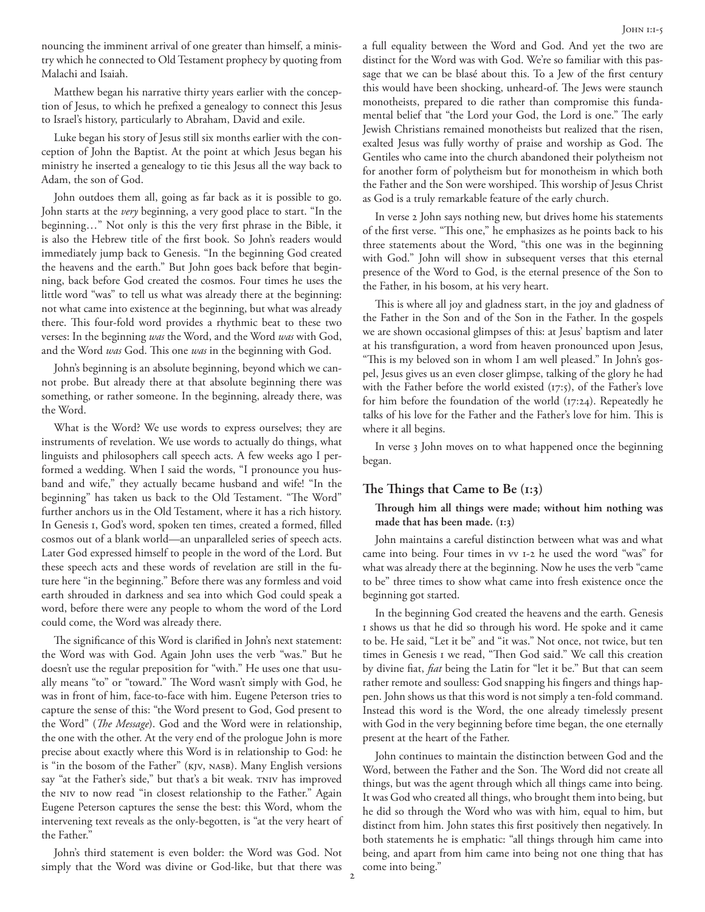nouncing the imminent arrival of one greater than himself, a ministry which he connected to Old Testament prophecy by quoting from Malachi and Isaiah.

Matthew began his narrative thirty years earlier with the conception of Jesus, to which he prefixed a genealogy to connect this Jesus to Israel's history, particularly to Abraham, David and exile.

Luke began his story of Jesus still six months earlier with the conception of John the Baptist. At the point at which Jesus began his ministry he inserted a genealogy to tie this Jesus all the way back to Adam, the son of God.

John outdoes them all, going as far back as it is possible to go. John starts at the *very* beginning, a very good place to start. "In the beginning…" Not only is this the very first phrase in the Bible, it is also the Hebrew title of the first book. So John's readers would immediately jump back to Genesis. "In the beginning God created the heavens and the earth." But John goes back before that beginning, back before God created the cosmos. Four times he uses the little word "was" to tell us what was already there at the beginning: not what came into existence at the beginning, but what was already there. This four-fold word provides a rhythmic beat to these two verses: In the beginning *was* the Word, and the Word *was* with God, and the Word *was* God. This one *was* in the beginning with God.

John's beginning is an absolute beginning, beyond which we cannot probe. But already there at that absolute beginning there was something, or rather someone. In the beginning, already there, was the Word.

What is the Word? We use words to express ourselves; they are instruments of revelation. We use words to actually do things, what linguists and philosophers call speech acts. A few weeks ago I performed a wedding. When I said the words, "I pronounce you husband and wife," they actually became husband and wife! "In the beginning" has taken us back to the Old Testament. "The Word" further anchors us in the Old Testament, where it has a rich history. In Genesis 1, God's word, spoken ten times, created a formed, filled cosmos out of a blank world—an unparalleled series of speech acts. Later God expressed himself to people in the word of the Lord. But these speech acts and these words of revelation are still in the future here "in the beginning." Before there was any formless and void earth shrouded in darkness and sea into which God could speak a word, before there were any people to whom the word of the Lord could come, the Word was already there.

The significance of this Word is clarified in John's next statement: the Word was with God. Again John uses the verb "was." But he doesn't use the regular preposition for "with." He uses one that usually means "to" or "toward." The Word wasn't simply with God, he was in front of him, face-to-face with him. Eugene Peterson tries to capture the sense of this: "the Word present to God, God present to the Word" (*The Message*). God and the Word were in relationship, the one with the other. At the very end of the prologue John is more precise about exactly where this Word is in relationship to God: he is "in the bosom of the Father" (KJV, NASB). Many English versions say "at the Father's side," but that's a bit weak. TNIV has improved the NIV to now read "in closest relationship to the Father." Again Eugene Peterson captures the sense the best: this Word, whom the intervening text reveals as the only-begotten, is "at the very heart of the Father."

John's third statement is even bolder: the Word was God. Not simply that the Word was divine or God-like, but that there was a full equality between the Word and God. And yet the two are distinct for the Word was with God. We're so familiar with this passage that we can be blasé about this. To a Jew of the first century this would have been shocking, unheard-of. The Jews were staunch monotheists, prepared to die rather than compromise this fundamental belief that "the Lord your God, the Lord is one." The early Jewish Christians remained monotheists but realized that the risen, exalted Jesus was fully worthy of praise and worship as God. The Gentiles who came into the church abandoned their polytheism not for another form of polytheism but for monotheism in which both the Father and the Son were worshiped. This worship of Jesus Christ as God is a truly remarkable feature of the early church.

In verse 2 John says nothing new, but drives home his statements of the first verse. "This one," he emphasizes as he points back to his three statements about the Word, "this one was in the beginning with God." John will show in subsequent verses that this eternal presence of the Word to God, is the eternal presence of the Son to the Father, in his bosom, at his very heart.

This is where all joy and gladness start, in the joy and gladness of the Father in the Son and of the Son in the Father. In the gospels we are shown occasional glimpses of this: at Jesus' baptism and later at his transfiguration, a word from heaven pronounced upon Jesus, "This is my beloved son in whom I am well pleased." In John's gospel, Jesus gives us an even closer glimpse, talking of the glory he had with the Father before the world existed (17:5), of the Father's love for him before the foundation of the world (17:24). Repeatedly he talks of his love for the Father and the Father's love for him. This is where it all begins.

In verse 3 John moves on to what happened once the beginning began.

### **The Things that Came to Be (1:3)**

## **Through him all things were made; without him nothing was made that has been made. (1:3)**

John maintains a careful distinction between what was and what came into being. Four times in vv 1-2 he used the word "was" for what was already there at the beginning. Now he uses the verb "came to be" three times to show what came into fresh existence once the beginning got started.

In the beginning God created the heavens and the earth. Genesis 1 shows us that he did so through his word. He spoke and it came to be. He said, "Let it be" and "it was." Not once, not twice, but ten times in Genesis 1 we read, "Then God said." We call this creation by divine fiat, *fiat* being the Latin for "let it be." But that can seem rather remote and soulless: God snapping his fingers and things happen. John shows us that this word is not simply a ten-fold command. Instead this word is the Word, the one already timelessly present with God in the very beginning before time began, the one eternally present at the heart of the Father.

John continues to maintain the distinction between God and the Word, between the Father and the Son. The Word did not create all things, but was the agent through which all things came into being. It was God who created all things, who brought them into being, but he did so through the Word who was with him, equal to him, but distinct from him. John states this first positively then negatively. In both statements he is emphatic: "all things through him came into being, and apart from him came into being not one thing that has come into being."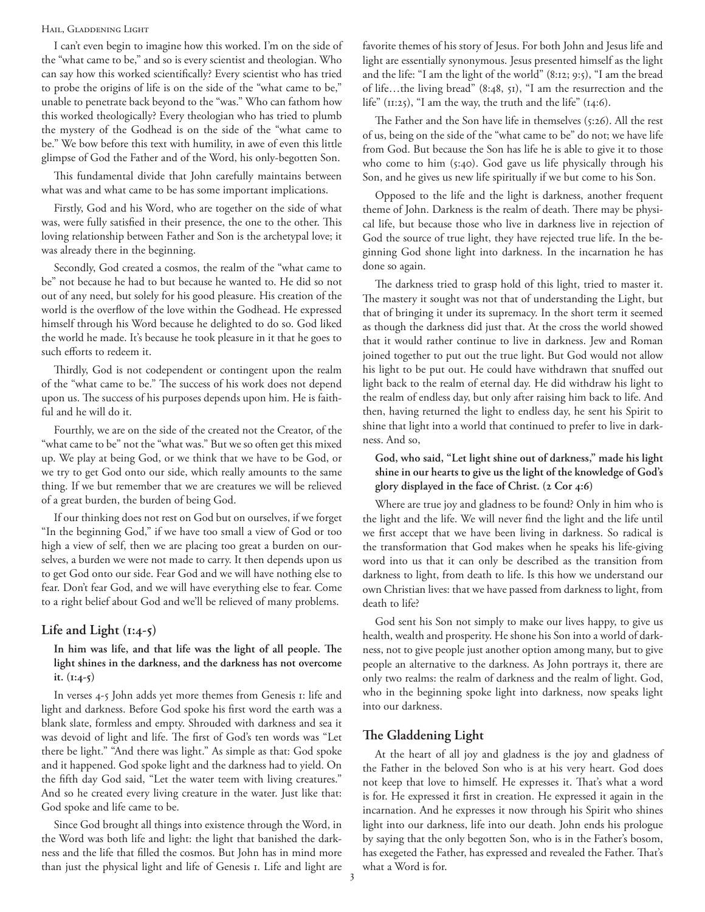#### HAIL, GLADDENING LIGHT

I can't even begin to imagine how this worked. I'm on the side of the "what came to be," and so is every scientist and theologian. Who can say how this worked scientifically? Every scientist who has tried to probe the origins of life is on the side of the "what came to be," unable to penetrate back beyond to the "was." Who can fathom how this worked theologically? Every theologian who has tried to plumb the mystery of the Godhead is on the side of the "what came to be." We bow before this text with humility, in awe of even this little glimpse of God the Father and of the Word, his only-begotten Son.

This fundamental divide that John carefully maintains between what was and what came to be has some important implications.

Firstly, God and his Word, who are together on the side of what was, were fully satisfied in their presence, the one to the other. This loving relationship between Father and Son is the archetypal love; it was already there in the beginning.

Secondly, God created a cosmos, the realm of the "what came to be" not because he had to but because he wanted to. He did so not out of any need, but solely for his good pleasure. His creation of the world is the overflow of the love within the Godhead. He expressed himself through his Word because he delighted to do so. God liked the world he made. It's because he took pleasure in it that he goes to such efforts to redeem it.

Thirdly, God is not codependent or contingent upon the realm of the "what came to be." The success of his work does not depend upon us. The success of his purposes depends upon him. He is faithful and he will do it.

Fourthly, we are on the side of the created not the Creator, of the "what came to be" not the "what was." But we so often get this mixed up. We play at being God, or we think that we have to be God, or we try to get God onto our side, which really amounts to the same thing. If we but remember that we are creatures we will be relieved of a great burden, the burden of being God.

If our thinking does not rest on God but on ourselves, if we forget "In the beginning God," if we have too small a view of God or too high a view of self, then we are placing too great a burden on ourselves, a burden we were not made to carry. It then depends upon us to get God onto our side. Fear God and we will have nothing else to fear. Don't fear God, and we will have everything else to fear. Come to a right belief about God and we'll be relieved of many problems.

### **Life and Light (1:4-5)**

**In him was life, and that life was the light of all people. The light shines in the darkness, and the darkness has not overcome it. (1:4-5)**

In verses 4-5 John adds yet more themes from Genesis 1: life and light and darkness. Before God spoke his first word the earth was a blank slate, formless and empty. Shrouded with darkness and sea it was devoid of light and life. The first of God's ten words was "Let there be light." "And there was light." As simple as that: God spoke and it happened. God spoke light and the darkness had to yield. On the fifth day God said, "Let the water teem with living creatures." And so he created every living creature in the water. Just like that: God spoke and life came to be.

Since God brought all things into existence through the Word, in the Word was both life and light: the light that banished the darkness and the life that filled the cosmos. But John has in mind more than just the physical light and life of Genesis 1. Life and light are favorite themes of his story of Jesus. For both John and Jesus life and light are essentially synonymous. Jesus presented himself as the light and the life: "I am the light of the world" (8:12; 9:5), "I am the bread of life…the living bread" (8:48, 51), "I am the resurrection and the life" (11:25), "I am the way, the truth and the life" (14:6).

The Father and the Son have life in themselves (5:26). All the rest of us, being on the side of the "what came to be" do not; we have life from God. But because the Son has life he is able to give it to those who come to him (5:40). God gave us life physically through his Son, and he gives us new life spiritually if we but come to his Son.

Opposed to the life and the light is darkness, another frequent theme of John. Darkness is the realm of death. There may be physical life, but because those who live in darkness live in rejection of God the source of true light, they have rejected true life. In the beginning God shone light into darkness. In the incarnation he has done so again.

The darkness tried to grasp hold of this light, tried to master it. The mastery it sought was not that of understanding the Light, but that of bringing it under its supremacy. In the short term it seemed as though the darkness did just that. At the cross the world showed that it would rather continue to live in darkness. Jew and Roman joined together to put out the true light. But God would not allow his light to be put out. He could have withdrawn that snuffed out light back to the realm of eternal day. He did withdraw his light to the realm of endless day, but only after raising him back to life. And then, having returned the light to endless day, he sent his Spirit to shine that light into a world that continued to prefer to live in darkness. And so,

# **God, who said, "Let light shine out of darkness," made his light shine in our hearts to give us the light of the knowledge of God's glory displayed in the face of Christ. (2 Cor 4:6)**

Where are true joy and gladness to be found? Only in him who is the light and the life. We will never find the light and the life until we first accept that we have been living in darkness. So radical is the transformation that God makes when he speaks his life-giving word into us that it can only be described as the transition from darkness to light, from death to life. Is this how we understand our own Christian lives: that we have passed from darkness to light, from death to life?

God sent his Son not simply to make our lives happy, to give us health, wealth and prosperity. He shone his Son into a world of darkness, not to give people just another option among many, but to give people an alternative to the darkness. As John portrays it, there are only two realms: the realm of darkness and the realm of light. God, who in the beginning spoke light into darkness, now speaks light into our darkness.

# **The Gladdening Light**

At the heart of all joy and gladness is the joy and gladness of the Father in the beloved Son who is at his very heart. God does not keep that love to himself. He expresses it. That's what a word is for. He expressed it first in creation. He expressed it again in the incarnation. And he expresses it now through his Spirit who shines light into our darkness, life into our death. John ends his prologue by saying that the only begotten Son, who is in the Father's bosom, has exegeted the Father, has expressed and revealed the Father. That's what a Word is for.